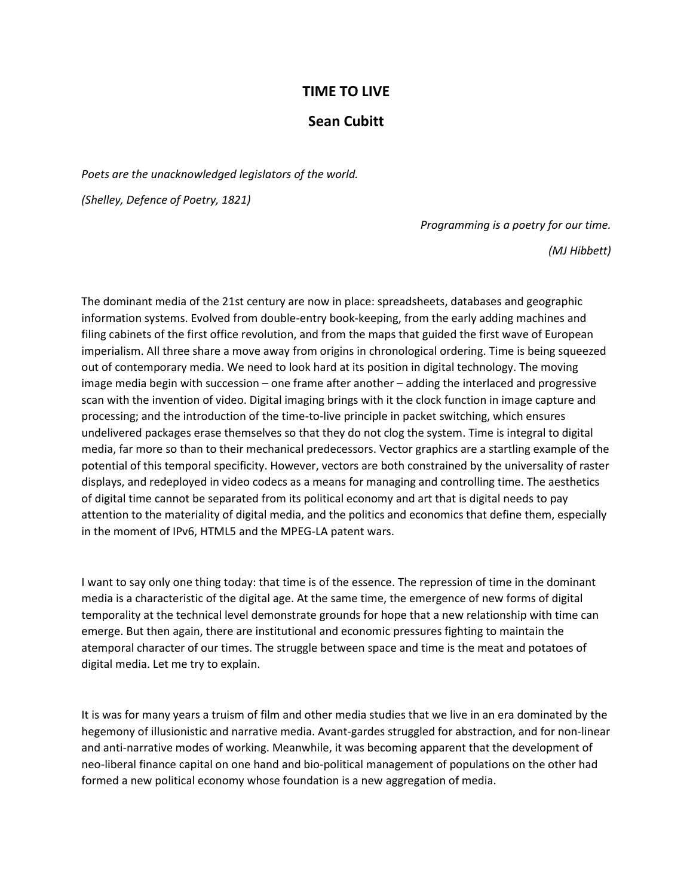## **TIME TO LIVE**

## **Sean Cubitt**

*Poets are the unacknowledged legislators of the world.* 

*(Shelley, Defence of Poetry, 1821)*

*Programming is a poetry for our time.*

*(MJ Hibbett)*

The dominant media of the 21st century are now in place: spreadsheets, databases and geographic information systems. Evolved from double-entry book-keeping, from the early adding machines and filing cabinets of the first office revolution, and from the maps that guided the first wave of European imperialism. All three share a move away from origins in chronological ordering. Time is being squeezed out of contemporary media. We need to look hard at its position in digital technology. The moving image media begin with succession – one frame after another – adding the interlaced and progressive scan with the invention of video. Digital imaging brings with it the clock function in image capture and processing; and the introduction of the time-to-live principle in packet switching, which ensures undelivered packages erase themselves so that they do not clog the system. Time is integral to digital media, far more so than to their mechanical predecessors. Vector graphics are a startling example of the potential of this temporal specificity. However, vectors are both constrained by the universality of raster displays, and redeployed in video codecs as a means for managing and controlling time. The aesthetics of digital time cannot be separated from its political economy and art that is digital needs to pay attention to the materiality of digital media, and the politics and economics that define them, especially in the moment of IPv6, HTML5 and the MPEG-LA patent wars.

I want to say only one thing today: that time is of the essence. The repression of time in the dominant media is a characteristic of the digital age. At the same time, the emergence of new forms of digital temporality at the technical level demonstrate grounds for hope that a new relationship with time can emerge. But then again, there are institutional and economic pressures fighting to maintain the atemporal character of our times. The struggle between space and time is the meat and potatoes of digital media. Let me try to explain.

It is was for many years a truism of film and other media studies that we live in an era dominated by the hegemony of illusionistic and narrative media. Avant-gardes struggled for abstraction, and for non-linear and anti-narrative modes of working. Meanwhile, it was becoming apparent that the development of neo-liberal finance capital on one hand and bio-political management of populations on the other had formed a new political economy whose foundation is a new aggregation of media.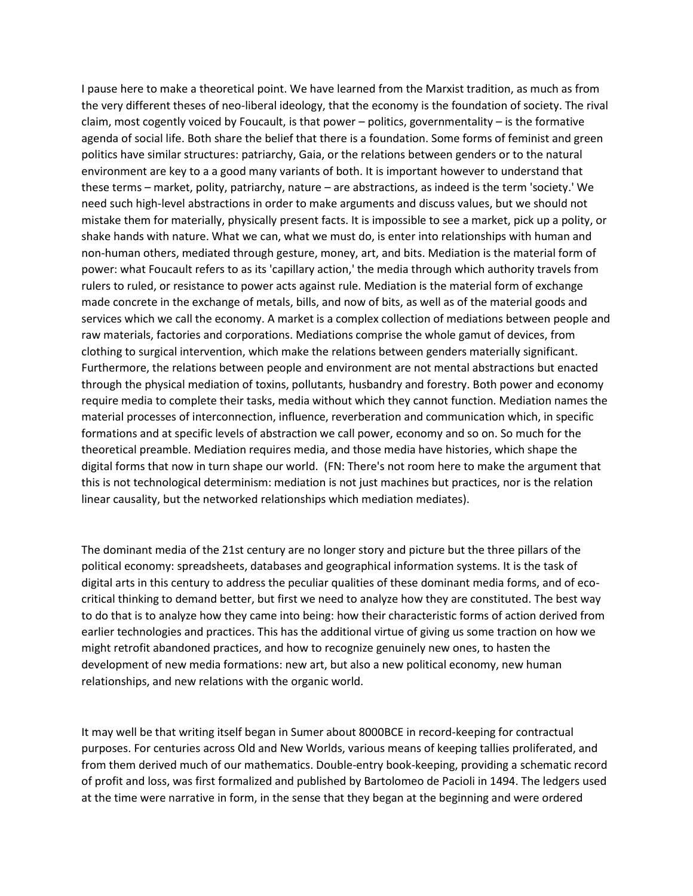I pause here to make a theoretical point. We have learned from the Marxist tradition, as much as from the very different theses of neo-liberal ideology, that the economy is the foundation of society. The rival claim, most cogently voiced by Foucault, is that power – politics, governmentality – is the formative agenda of social life. Both share the belief that there is a foundation. Some forms of feminist and green politics have similar structures: patriarchy, Gaia, or the relations between genders or to the natural environment are key to a a good many variants of both. It is important however to understand that these terms – market, polity, patriarchy, nature – are abstractions, as indeed is the term 'society.' We need such high-level abstractions in order to make arguments and discuss values, but we should not mistake them for materially, physically present facts. It is impossible to see a market, pick up a polity, or shake hands with nature. What we can, what we must do, is enter into relationships with human and non-human others, mediated through gesture, money, art, and bits. Mediation is the material form of power: what Foucault refers to as its 'capillary action,' the media through which authority travels from rulers to ruled, or resistance to power acts against rule. Mediation is the material form of exchange made concrete in the exchange of metals, bills, and now of bits, as well as of the material goods and services which we call the economy. A market is a complex collection of mediations between people and raw materials, factories and corporations. Mediations comprise the whole gamut of devices, from clothing to surgical intervention, which make the relations between genders materially significant. Furthermore, the relations between people and environment are not mental abstractions but enacted through the physical mediation of toxins, pollutants, husbandry and forestry. Both power and economy require media to complete their tasks, media without which they cannot function. Mediation names the material processes of interconnection, influence, reverberation and communication which, in specific formations and at specific levels of abstraction we call power, economy and so on. So much for the theoretical preamble. Mediation requires media, and those media have histories, which shape the digital forms that now in turn shape our world. (FN: There's not room here to make the argument that this is not technological determinism: mediation is not just machines but practices, nor is the relation linear causality, but the networked relationships which mediation mediates).

The dominant media of the 21st century are no longer story and picture but the three pillars of the political economy: spreadsheets, databases and geographical information systems. It is the task of digital arts in this century to address the peculiar qualities of these dominant media forms, and of ecocritical thinking to demand better, but first we need to analyze how they are constituted. The best way to do that is to analyze how they came into being: how their characteristic forms of action derived from earlier technologies and practices. This has the additional virtue of giving us some traction on how we might retrofit abandoned practices, and how to recognize genuinely new ones, to hasten the development of new media formations: new art, but also a new political economy, new human relationships, and new relations with the organic world.

It may well be that writing itself began in Sumer about 8000BCE in record-keeping for contractual purposes. For centuries across Old and New Worlds, various means of keeping tallies proliferated, and from them derived much of our mathematics. Double-entry book-keeping, providing a schematic record of profit and loss, was first formalized and published by Bartolomeo de Pacioli in 1494. The ledgers used at the time were narrative in form, in the sense that they began at the beginning and were ordered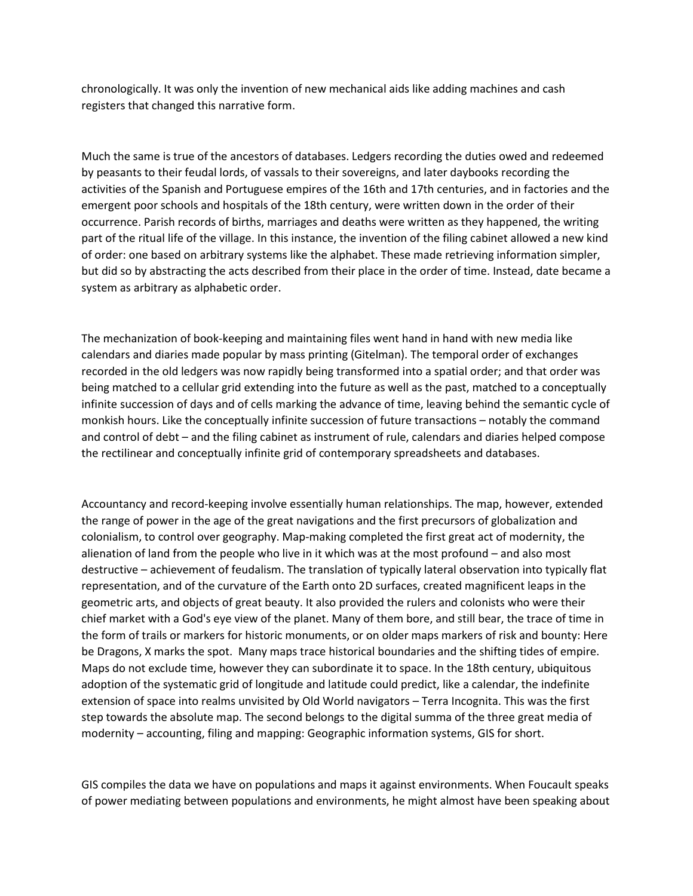chronologically. It was only the invention of new mechanical aids like adding machines and cash registers that changed this narrative form.

Much the same is true of the ancestors of databases. Ledgers recording the duties owed and redeemed by peasants to their feudal lords, of vassals to their sovereigns, and later daybooks recording the activities of the Spanish and Portuguese empires of the 16th and 17th centuries, and in factories and the emergent poor schools and hospitals of the 18th century, were written down in the order of their occurrence. Parish records of births, marriages and deaths were written as they happened, the writing part of the ritual life of the village. In this instance, the invention of the filing cabinet allowed a new kind of order: one based on arbitrary systems like the alphabet. These made retrieving information simpler, but did so by abstracting the acts described from their place in the order of time. Instead, date became a system as arbitrary as alphabetic order.

The mechanization of book-keeping and maintaining files went hand in hand with new media like calendars and diaries made popular by mass printing (Gitelman). The temporal order of exchanges recorded in the old ledgers was now rapidly being transformed into a spatial order; and that order was being matched to a cellular grid extending into the future as well as the past, matched to a conceptually infinite succession of days and of cells marking the advance of time, leaving behind the semantic cycle of monkish hours. Like the conceptually infinite succession of future transactions – notably the command and control of debt – and the filing cabinet as instrument of rule, calendars and diaries helped compose the rectilinear and conceptually infinite grid of contemporary spreadsheets and databases.

Accountancy and record-keeping involve essentially human relationships. The map, however, extended the range of power in the age of the great navigations and the first precursors of globalization and colonialism, to control over geography. Map-making completed the first great act of modernity, the alienation of land from the people who live in it which was at the most profound – and also most destructive – achievement of feudalism. The translation of typically lateral observation into typically flat representation, and of the curvature of the Earth onto 2D surfaces, created magnificent leaps in the geometric arts, and objects of great beauty. It also provided the rulers and colonists who were their chief market with a God's eye view of the planet. Many of them bore, and still bear, the trace of time in the form of trails or markers for historic monuments, or on older maps markers of risk and bounty: Here be Dragons, X marks the spot. Many maps trace historical boundaries and the shifting tides of empire. Maps do not exclude time, however they can subordinate it to space. In the 18th century, ubiquitous adoption of the systematic grid of longitude and latitude could predict, like a calendar, the indefinite extension of space into realms unvisited by Old World navigators – Terra Incognita. This was the first step towards the absolute map. The second belongs to the digital summa of the three great media of modernity – accounting, filing and mapping: Geographic information systems, GIS for short.

GIS compiles the data we have on populations and maps it against environments. When Foucault speaks of power mediating between populations and environments, he might almost have been speaking about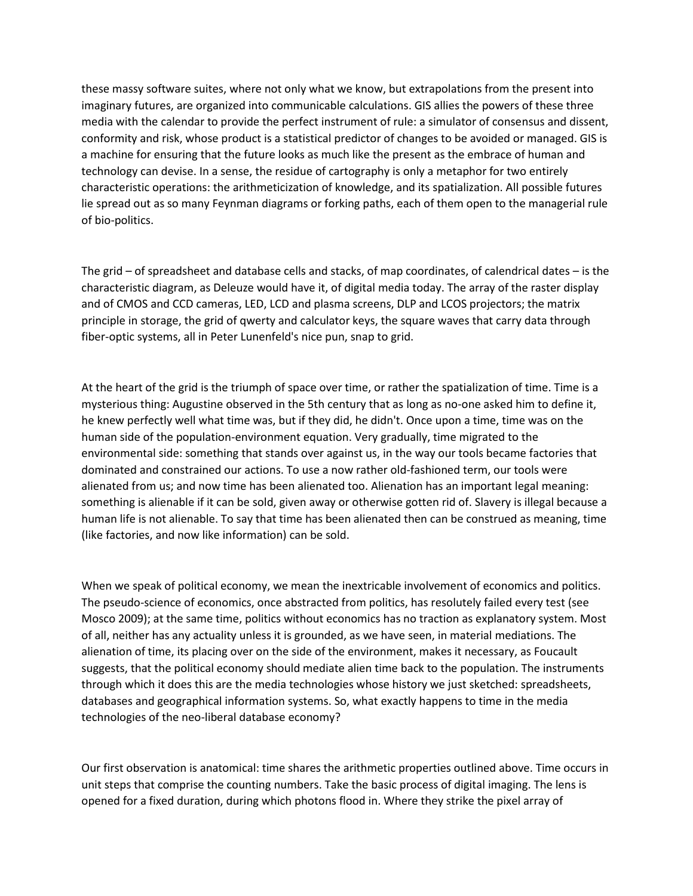these massy software suites, where not only what we know, but extrapolations from the present into imaginary futures, are organized into communicable calculations. GIS allies the powers of these three media with the calendar to provide the perfect instrument of rule: a simulator of consensus and dissent, conformity and risk, whose product is a statistical predictor of changes to be avoided or managed. GIS is a machine for ensuring that the future looks as much like the present as the embrace of human and technology can devise. In a sense, the residue of cartography is only a metaphor for two entirely characteristic operations: the arithmeticization of knowledge, and its spatialization. All possible futures lie spread out as so many Feynman diagrams or forking paths, each of them open to the managerial rule of bio-politics.

The grid – of spreadsheet and database cells and stacks, of map coordinates, of calendrical dates – is the characteristic diagram, as Deleuze would have it, of digital media today. The array of the raster display and of CMOS and CCD cameras, LED, LCD and plasma screens, DLP and LCOS projectors; the matrix principle in storage, the grid of qwerty and calculator keys, the square waves that carry data through fiber-optic systems, all in Peter Lunenfeld's nice pun, snap to grid.

At the heart of the grid is the triumph of space over time, or rather the spatialization of time. Time is a mysterious thing: Augustine observed in the 5th century that as long as no-one asked him to define it, he knew perfectly well what time was, but if they did, he didn't. Once upon a time, time was on the human side of the population-environment equation. Very gradually, time migrated to the environmental side: something that stands over against us, in the way our tools became factories that dominated and constrained our actions. To use a now rather old-fashioned term, our tools were alienated from us; and now time has been alienated too. Alienation has an important legal meaning: something is alienable if it can be sold, given away or otherwise gotten rid of. Slavery is illegal because a human life is not alienable. To say that time has been alienated then can be construed as meaning, time (like factories, and now like information) can be sold.

When we speak of political economy, we mean the inextricable involvement of economics and politics. The pseudo-science of economics, once abstracted from politics, has resolutely failed every test (see Mosco 2009); at the same time, politics without economics has no traction as explanatory system. Most of all, neither has any actuality unless it is grounded, as we have seen, in material mediations. The alienation of time, its placing over on the side of the environment, makes it necessary, as Foucault suggests, that the political economy should mediate alien time back to the population. The instruments through which it does this are the media technologies whose history we just sketched: spreadsheets, databases and geographical information systems. So, what exactly happens to time in the media technologies of the neo-liberal database economy?

Our first observation is anatomical: time shares the arithmetic properties outlined above. Time occurs in unit steps that comprise the counting numbers. Take the basic process of digital imaging. The lens is opened for a fixed duration, during which photons flood in. Where they strike the pixel array of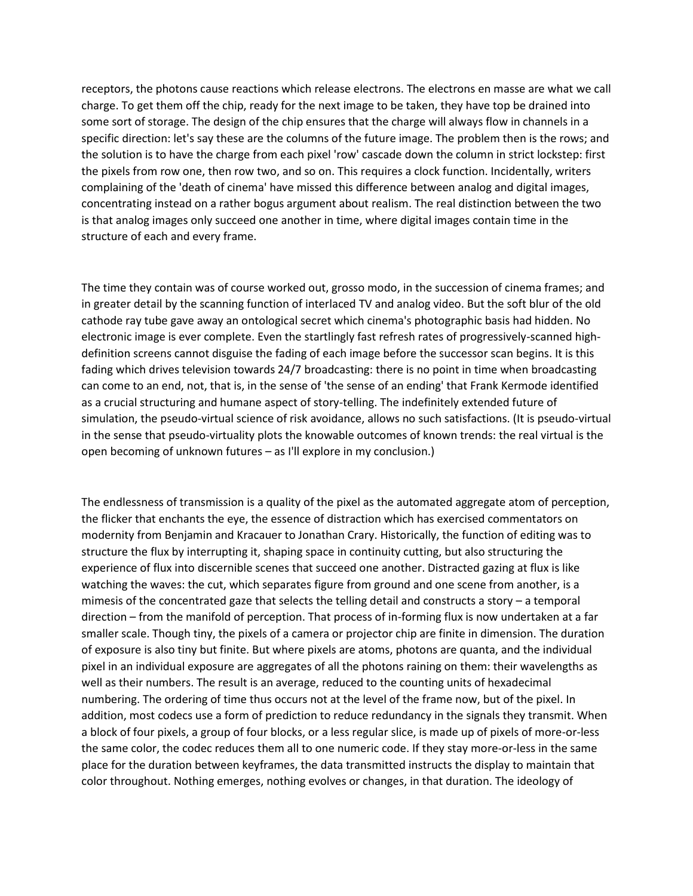receptors, the photons cause reactions which release electrons. The electrons en masse are what we call charge. To get them off the chip, ready for the next image to be taken, they have top be drained into some sort of storage. The design of the chip ensures that the charge will always flow in channels in a specific direction: let's say these are the columns of the future image. The problem then is the rows; and the solution is to have the charge from each pixel 'row' cascade down the column in strict lockstep: first the pixels from row one, then row two, and so on. This requires a clock function. Incidentally, writers complaining of the 'death of cinema' have missed this difference between analog and digital images, concentrating instead on a rather bogus argument about realism. The real distinction between the two is that analog images only succeed one another in time, where digital images contain time in the structure of each and every frame.

The time they contain was of course worked out, grosso modo, in the succession of cinema frames; and in greater detail by the scanning function of interlaced TV and analog video. But the soft blur of the old cathode ray tube gave away an ontological secret which cinema's photographic basis had hidden. No electronic image is ever complete. Even the startlingly fast refresh rates of progressively-scanned highdefinition screens cannot disguise the fading of each image before the successor scan begins. It is this fading which drives television towards 24/7 broadcasting: there is no point in time when broadcasting can come to an end, not, that is, in the sense of 'the sense of an ending' that Frank Kermode identified as a crucial structuring and humane aspect of story-telling. The indefinitely extended future of simulation, the pseudo-virtual science of risk avoidance, allows no such satisfactions. (It is pseudo-virtual in the sense that pseudo-virtuality plots the knowable outcomes of known trends: the real virtual is the open becoming of unknown futures – as I'll explore in my conclusion.)

The endlessness of transmission is a quality of the pixel as the automated aggregate atom of perception, the flicker that enchants the eye, the essence of distraction which has exercised commentators on modernity from Benjamin and Kracauer to Jonathan Crary. Historically, the function of editing was to structure the flux by interrupting it, shaping space in continuity cutting, but also structuring the experience of flux into discernible scenes that succeed one another. Distracted gazing at flux is like watching the waves: the cut, which separates figure from ground and one scene from another, is a mimesis of the concentrated gaze that selects the telling detail and constructs a story – a temporal direction – from the manifold of perception. That process of in-forming flux is now undertaken at a far smaller scale. Though tiny, the pixels of a camera or projector chip are finite in dimension. The duration of exposure is also tiny but finite. But where pixels are atoms, photons are quanta, and the individual pixel in an individual exposure are aggregates of all the photons raining on them: their wavelengths as well as their numbers. The result is an average, reduced to the counting units of hexadecimal numbering. The ordering of time thus occurs not at the level of the frame now, but of the pixel. In addition, most codecs use a form of prediction to reduce redundancy in the signals they transmit. When a block of four pixels, a group of four blocks, or a less regular slice, is made up of pixels of more-or-less the same color, the codec reduces them all to one numeric code. If they stay more-or-less in the same place for the duration between keyframes, the data transmitted instructs the display to maintain that color throughout. Nothing emerges, nothing evolves or changes, in that duration. The ideology of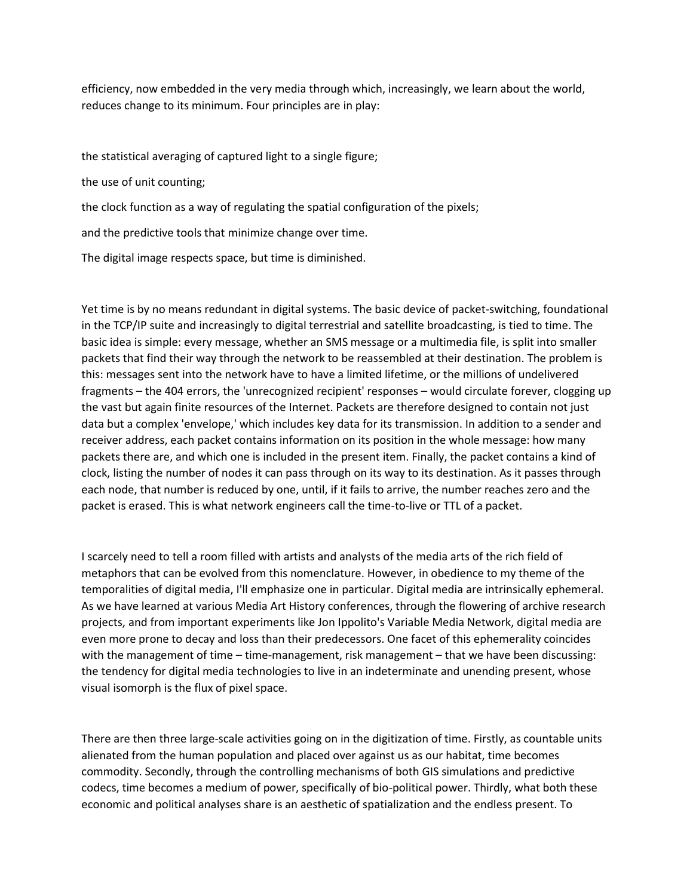efficiency, now embedded in the very media through which, increasingly, we learn about the world, reduces change to its minimum. Four principles are in play:

the statistical averaging of captured light to a single figure;

the use of unit counting;

the clock function as a way of regulating the spatial configuration of the pixels;

and the predictive tools that minimize change over time.

The digital image respects space, but time is diminished.

Yet time is by no means redundant in digital systems. The basic device of packet-switching, foundational in the TCP/IP suite and increasingly to digital terrestrial and satellite broadcasting, is tied to time. The basic idea is simple: every message, whether an SMS message or a multimedia file, is split into smaller packets that find their way through the network to be reassembled at their destination. The problem is this: messages sent into the network have to have a limited lifetime, or the millions of undelivered fragments – the 404 errors, the 'unrecognized recipient' responses – would circulate forever, clogging up the vast but again finite resources of the Internet. Packets are therefore designed to contain not just data but a complex 'envelope,' which includes key data for its transmission. In addition to a sender and receiver address, each packet contains information on its position in the whole message: how many packets there are, and which one is included in the present item. Finally, the packet contains a kind of clock, listing the number of nodes it can pass through on its way to its destination. As it passes through each node, that number is reduced by one, until, if it fails to arrive, the number reaches zero and the packet is erased. This is what network engineers call the time-to-live or TTL of a packet.

I scarcely need to tell a room filled with artists and analysts of the media arts of the rich field of metaphors that can be evolved from this nomenclature. However, in obedience to my theme of the temporalities of digital media, I'll emphasize one in particular. Digital media are intrinsically ephemeral. As we have learned at various Media Art History conferences, through the flowering of archive research projects, and from important experiments like Jon Ippolito's Variable Media Network, digital media are even more prone to decay and loss than their predecessors. One facet of this ephemerality coincides with the management of time – time-management, risk management – that we have been discussing: the tendency for digital media technologies to live in an indeterminate and unending present, whose visual isomorph is the flux of pixel space.

There are then three large-scale activities going on in the digitization of time. Firstly, as countable units alienated from the human population and placed over against us as our habitat, time becomes commodity. Secondly, through the controlling mechanisms of both GIS simulations and predictive codecs, time becomes a medium of power, specifically of bio-political power. Thirdly, what both these economic and political analyses share is an aesthetic of spatialization and the endless present. To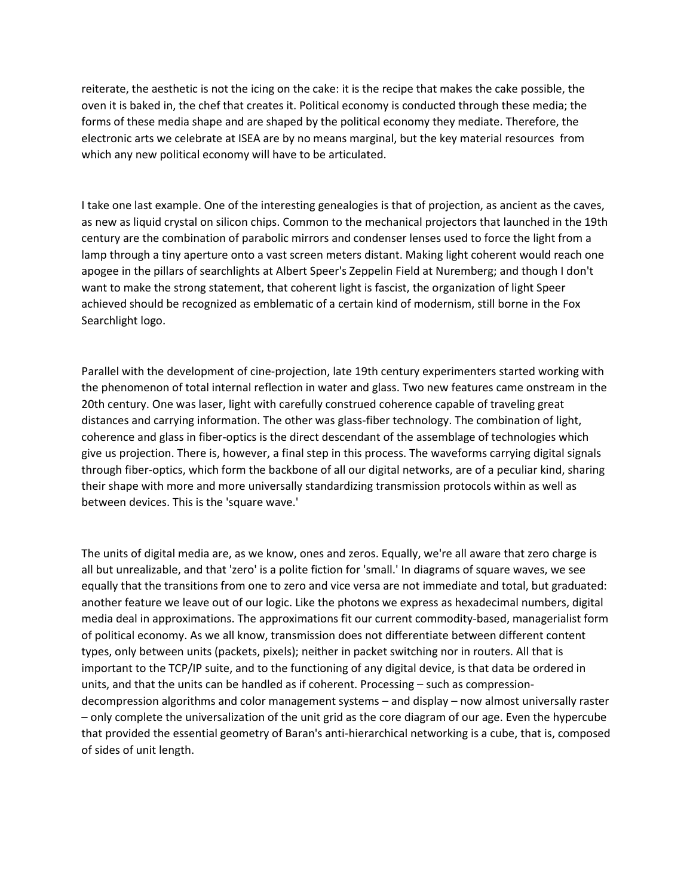reiterate, the aesthetic is not the icing on the cake: it is the recipe that makes the cake possible, the oven it is baked in, the chef that creates it. Political economy is conducted through these media; the forms of these media shape and are shaped by the political economy they mediate. Therefore, the electronic arts we celebrate at ISEA are by no means marginal, but the key material resources from which any new political economy will have to be articulated.

I take one last example. One of the interesting genealogies is that of projection, as ancient as the caves, as new as liquid crystal on silicon chips. Common to the mechanical projectors that launched in the 19th century are the combination of parabolic mirrors and condenser lenses used to force the light from a lamp through a tiny aperture onto a vast screen meters distant. Making light coherent would reach one apogee in the pillars of searchlights at Albert Speer's Zeppelin Field at Nuremberg; and though I don't want to make the strong statement, that coherent light is fascist, the organization of light Speer achieved should be recognized as emblematic of a certain kind of modernism, still borne in the Fox Searchlight logo.

Parallel with the development of cine-projection, late 19th century experimenters started working with the phenomenon of total internal reflection in water and glass. Two new features came onstream in the 20th century. One was laser, light with carefully construed coherence capable of traveling great distances and carrying information. The other was glass-fiber technology. The combination of light, coherence and glass in fiber-optics is the direct descendant of the assemblage of technologies which give us projection. There is, however, a final step in this process. The waveforms carrying digital signals through fiber-optics, which form the backbone of all our digital networks, are of a peculiar kind, sharing their shape with more and more universally standardizing transmission protocols within as well as between devices. This is the 'square wave.'

The units of digital media are, as we know, ones and zeros. Equally, we're all aware that zero charge is all but unrealizable, and that 'zero' is a polite fiction for 'small.' In diagrams of square waves, we see equally that the transitions from one to zero and vice versa are not immediate and total, but graduated: another feature we leave out of our logic. Like the photons we express as hexadecimal numbers, digital media deal in approximations. The approximations fit our current commodity-based, managerialist form of political economy. As we all know, transmission does not differentiate between different content types, only between units (packets, pixels); neither in packet switching nor in routers. All that is important to the TCP/IP suite, and to the functioning of any digital device, is that data be ordered in units, and that the units can be handled as if coherent. Processing – such as compressiondecompression algorithms and color management systems – and display – now almost universally raster – only complete the universalization of the unit grid as the core diagram of our age. Even the hypercube that provided the essential geometry of Baran's anti-hierarchical networking is a cube, that is, composed of sides of unit length.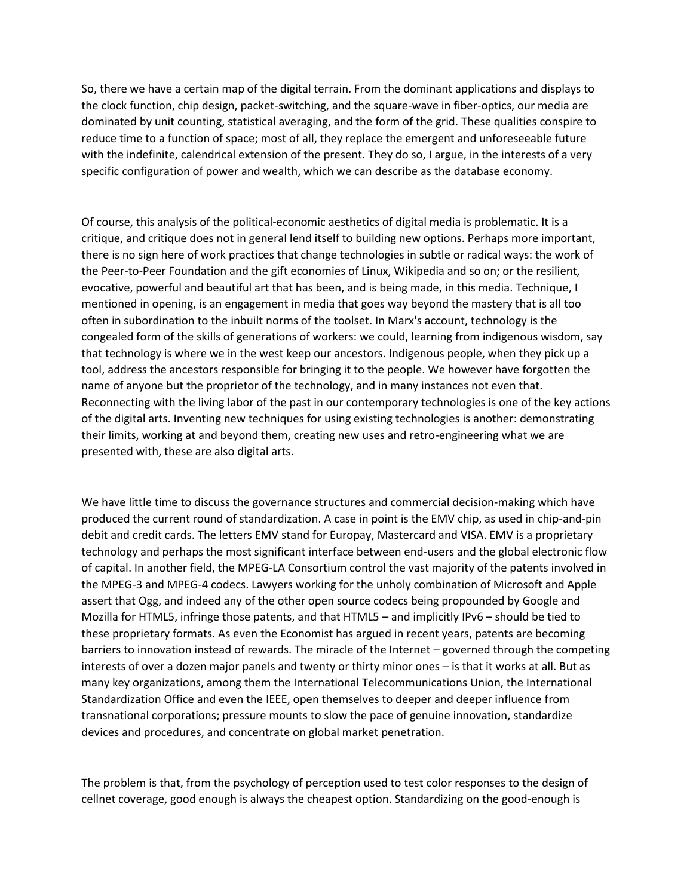So, there we have a certain map of the digital terrain. From the dominant applications and displays to the clock function, chip design, packet-switching, and the square-wave in fiber-optics, our media are dominated by unit counting, statistical averaging, and the form of the grid. These qualities conspire to reduce time to a function of space; most of all, they replace the emergent and unforeseeable future with the indefinite, calendrical extension of the present. They do so, I argue, in the interests of a very specific configuration of power and wealth, which we can describe as the database economy.

Of course, this analysis of the political-economic aesthetics of digital media is problematic. It is a critique, and critique does not in general lend itself to building new options. Perhaps more important, there is no sign here of work practices that change technologies in subtle or radical ways: the work of the Peer-to-Peer Foundation and the gift economies of Linux, Wikipedia and so on; or the resilient, evocative, powerful and beautiful art that has been, and is being made, in this media. Technique, I mentioned in opening, is an engagement in media that goes way beyond the mastery that is all too often in subordination to the inbuilt norms of the toolset. In Marx's account, technology is the congealed form of the skills of generations of workers: we could, learning from indigenous wisdom, say that technology is where we in the west keep our ancestors. Indigenous people, when they pick up a tool, address the ancestors responsible for bringing it to the people. We however have forgotten the name of anyone but the proprietor of the technology, and in many instances not even that. Reconnecting with the living labor of the past in our contemporary technologies is one of the key actions of the digital arts. Inventing new techniques for using existing technologies is another: demonstrating their limits, working at and beyond them, creating new uses and retro-engineering what we are presented with, these are also digital arts.

We have little time to discuss the governance structures and commercial decision-making which have produced the current round of standardization. A case in point is the EMV chip, as used in chip-and-pin debit and credit cards. The letters EMV stand for Europay, Mastercard and VISA. EMV is a proprietary technology and perhaps the most significant interface between end-users and the global electronic flow of capital. In another field, the MPEG-LA Consortium control the vast majority of the patents involved in the MPEG-3 and MPEG-4 codecs. Lawyers working for the unholy combination of Microsoft and Apple assert that Ogg, and indeed any of the other open source codecs being propounded by Google and Mozilla for HTML5, infringe those patents, and that HTML5 – and implicitly IPv6 – should be tied to these proprietary formats. As even the Economist has argued in recent years, patents are becoming barriers to innovation instead of rewards. The miracle of the Internet – governed through the competing interests of over a dozen major panels and twenty or thirty minor ones – is that it works at all. But as many key organizations, among them the International Telecommunications Union, the International Standardization Office and even the IEEE, open themselves to deeper and deeper influence from transnational corporations; pressure mounts to slow the pace of genuine innovation, standardize devices and procedures, and concentrate on global market penetration.

The problem is that, from the psychology of perception used to test color responses to the design of cellnet coverage, good enough is always the cheapest option. Standardizing on the good-enough is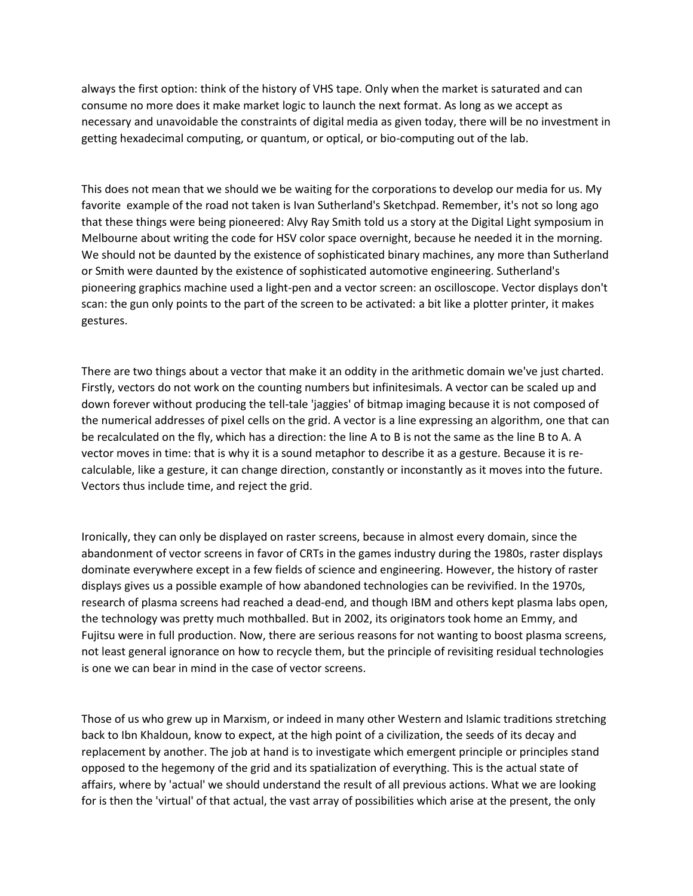always the first option: think of the history of VHS tape. Only when the market is saturated and can consume no more does it make market logic to launch the next format. As long as we accept as necessary and unavoidable the constraints of digital media as given today, there will be no investment in getting hexadecimal computing, or quantum, or optical, or bio-computing out of the lab.

This does not mean that we should we be waiting for the corporations to develop our media for us. My favorite example of the road not taken is Ivan Sutherland's Sketchpad. Remember, it's not so long ago that these things were being pioneered: Alvy Ray Smith told us a story at the Digital Light symposium in Melbourne about writing the code for HSV color space overnight, because he needed it in the morning. We should not be daunted by the existence of sophisticated binary machines, any more than Sutherland or Smith were daunted by the existence of sophisticated automotive engineering. Sutherland's pioneering graphics machine used a light-pen and a vector screen: an oscilloscope. Vector displays don't scan: the gun only points to the part of the screen to be activated: a bit like a plotter printer, it makes gestures.

There are two things about a vector that make it an oddity in the arithmetic domain we've just charted. Firstly, vectors do not work on the counting numbers but infinitesimals. A vector can be scaled up and down forever without producing the tell-tale 'jaggies' of bitmap imaging because it is not composed of the numerical addresses of pixel cells on the grid. A vector is a line expressing an algorithm, one that can be recalculated on the fly, which has a direction: the line A to B is not the same as the line B to A. A vector moves in time: that is why it is a sound metaphor to describe it as a gesture. Because it is recalculable, like a gesture, it can change direction, constantly or inconstantly as it moves into the future. Vectors thus include time, and reject the grid.

Ironically, they can only be displayed on raster screens, because in almost every domain, since the abandonment of vector screens in favor of CRTs in the games industry during the 1980s, raster displays dominate everywhere except in a few fields of science and engineering. However, the history of raster displays gives us a possible example of how abandoned technologies can be revivified. In the 1970s, research of plasma screens had reached a dead-end, and though IBM and others kept plasma labs open, the technology was pretty much mothballed. But in 2002, its originators took home an Emmy, and Fujitsu were in full production. Now, there are serious reasons for not wanting to boost plasma screens, not least general ignorance on how to recycle them, but the principle of revisiting residual technologies is one we can bear in mind in the case of vector screens.

Those of us who grew up in Marxism, or indeed in many other Western and Islamic traditions stretching back to Ibn Khaldoun, know to expect, at the high point of a civilization, the seeds of its decay and replacement by another. The job at hand is to investigate which emergent principle or principles stand opposed to the hegemony of the grid and its spatialization of everything. This is the actual state of affairs, where by 'actual' we should understand the result of all previous actions. What we are looking for is then the 'virtual' of that actual, the vast array of possibilities which arise at the present, the only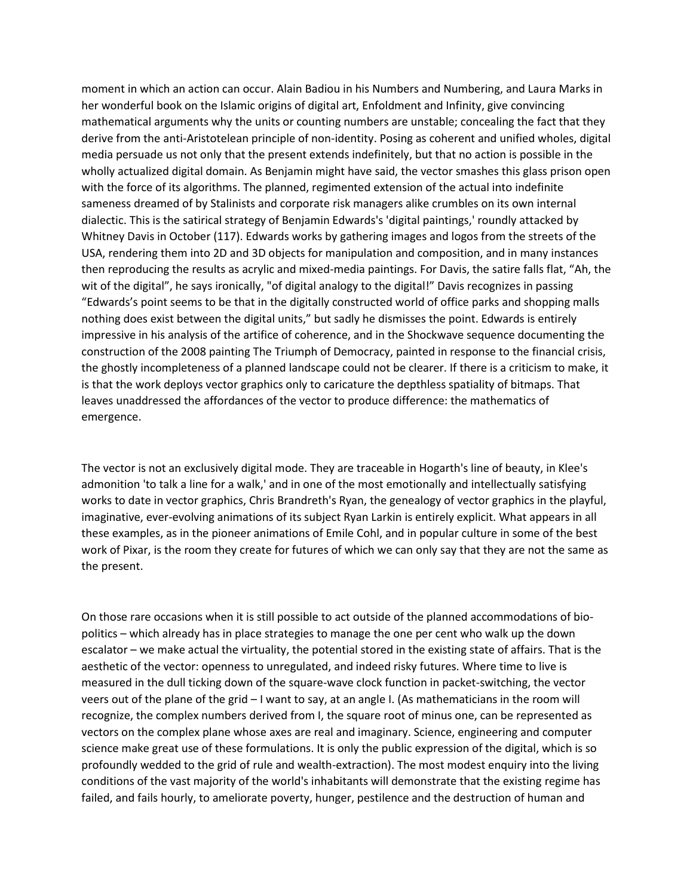moment in which an action can occur. Alain Badiou in his Numbers and Numbering, and Laura Marks in her wonderful book on the Islamic origins of digital art, Enfoldment and Infinity, give convincing mathematical arguments why the units or counting numbers are unstable; concealing the fact that they derive from the anti-Aristotelean principle of non-identity. Posing as coherent and unified wholes, digital media persuade us not only that the present extends indefinitely, but that no action is possible in the wholly actualized digital domain. As Benjamin might have said, the vector smashes this glass prison open with the force of its algorithms. The planned, regimented extension of the actual into indefinite sameness dreamed of by Stalinists and corporate risk managers alike crumbles on its own internal dialectic. This is the satirical strategy of Benjamin Edwards's 'digital paintings,' roundly attacked by Whitney Davis in October (117). Edwards works by gathering images and logos from the streets of the USA, rendering them into 2D and 3D objects for manipulation and composition, and in many instances then reproducing the results as acrylic and mixed-media paintings. For Davis, the satire falls flat, "Ah, the wit of the digital", he says ironically, "of digital analogy to the digital!" Davis recognizes in passing "Edwards's point seems to be that in the digitally constructed world of office parks and shopping malls nothing does exist between the digital units," but sadly he dismisses the point. Edwards is entirely impressive in his analysis of the artifice of coherence, and in the Shockwave sequence documenting the construction of the 2008 painting The Triumph of Democracy, painted in response to the financial crisis, the ghostly incompleteness of a planned landscape could not be clearer. If there is a criticism to make, it is that the work deploys vector graphics only to caricature the depthless spatiality of bitmaps. That leaves unaddressed the affordances of the vector to produce difference: the mathematics of emergence.

The vector is not an exclusively digital mode. They are traceable in Hogarth's line of beauty, in Klee's admonition 'to talk a line for a walk,' and in one of the most emotionally and intellectually satisfying works to date in vector graphics, Chris Brandreth's Ryan, the genealogy of vector graphics in the playful, imaginative, ever-evolving animations of its subject Ryan Larkin is entirely explicit. What appears in all these examples, as in the pioneer animations of Emile Cohl, and in popular culture in some of the best work of Pixar, is the room they create for futures of which we can only say that they are not the same as the present.

On those rare occasions when it is still possible to act outside of the planned accommodations of biopolitics – which already has in place strategies to manage the one per cent who walk up the down escalator – we make actual the virtuality, the potential stored in the existing state of affairs. That is the aesthetic of the vector: openness to unregulated, and indeed risky futures. Where time to live is measured in the dull ticking down of the square-wave clock function in packet-switching, the vector veers out of the plane of the grid – I want to say, at an angle I. (As mathematicians in the room will recognize, the complex numbers derived from I, the square root of minus one, can be represented as vectors on the complex plane whose axes are real and imaginary. Science, engineering and computer science make great use of these formulations. It is only the public expression of the digital, which is so profoundly wedded to the grid of rule and wealth-extraction). The most modest enquiry into the living conditions of the vast majority of the world's inhabitants will demonstrate that the existing regime has failed, and fails hourly, to ameliorate poverty, hunger, pestilence and the destruction of human and